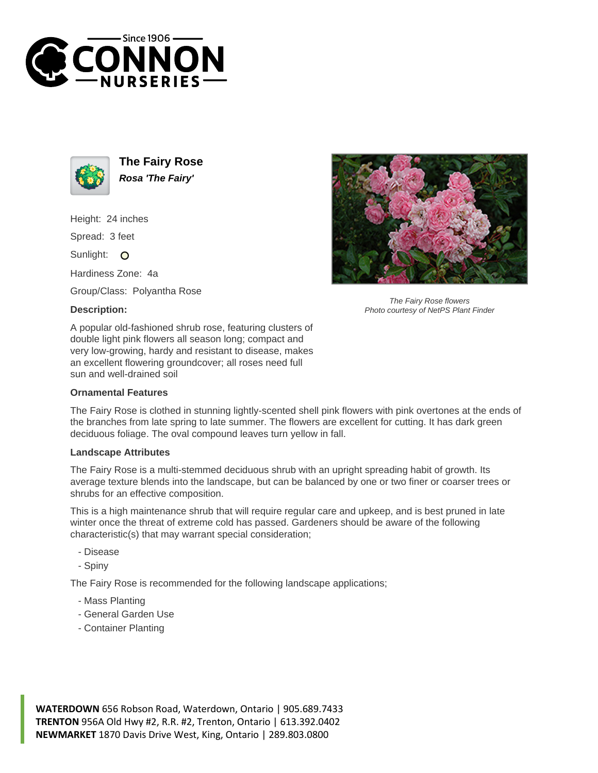



**The Fairy Rose Rosa 'The Fairy'**

Height: 24 inches

Spread: 3 feet

Sunlight: O

Hardiness Zone: 4a

Group/Class: Polyantha Rose

## **Description:**



The Fairy Rose flowers Photo courtesy of NetPS Plant Finder

A popular old-fashioned shrub rose, featuring clusters of double light pink flowers all season long; compact and very low-growing, hardy and resistant to disease, makes an excellent flowering groundcover; all roses need full sun and well-drained soil

## **Ornamental Features**

The Fairy Rose is clothed in stunning lightly-scented shell pink flowers with pink overtones at the ends of the branches from late spring to late summer. The flowers are excellent for cutting. It has dark green deciduous foliage. The oval compound leaves turn yellow in fall.

## **Landscape Attributes**

The Fairy Rose is a multi-stemmed deciduous shrub with an upright spreading habit of growth. Its average texture blends into the landscape, but can be balanced by one or two finer or coarser trees or shrubs for an effective composition.

This is a high maintenance shrub that will require regular care and upkeep, and is best pruned in late winter once the threat of extreme cold has passed. Gardeners should be aware of the following characteristic(s) that may warrant special consideration;

- Disease
- Spiny

The Fairy Rose is recommended for the following landscape applications;

- Mass Planting
- General Garden Use
- Container Planting

**WATERDOWN** 656 Robson Road, Waterdown, Ontario | 905.689.7433 **TRENTON** 956A Old Hwy #2, R.R. #2, Trenton, Ontario | 613.392.0402 **NEWMARKET** 1870 Davis Drive West, King, Ontario | 289.803.0800